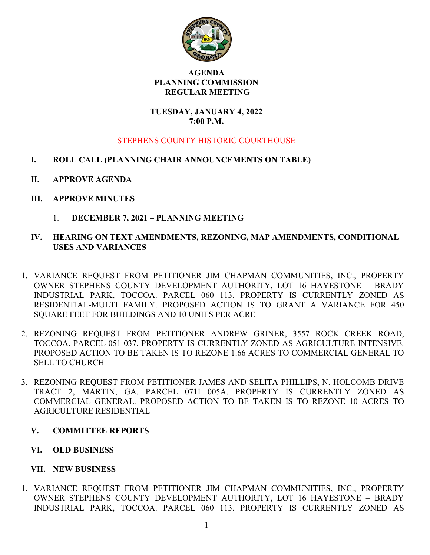

#### AGENDA PLANNING COMMISSION REGULAR MEETING

#### TUESDAY, JANUARY 4, 2022 7:00 P.M.

# STEPHENS COUNTY HISTORIC COURTHOUSE

- I. ROLL CALL (PLANNING CHAIR ANNOUNCEMENTS ON TABLE)
- II. APPROVE AGENDA
- III. APPROVE MINUTES
	- 1. DECEMBER 7, 2021 PLANNING MEETING

## IV. HEARING ON TEXT AMENDMENTS, REZONING, MAP AMENDMENTS, CONDITIONAL USES AND VARIANCES

- 1. VARIANCE REQUEST FROM PETITIONER JIM CHAPMAN COMMUNITIES, INC., PROPERTY OWNER STEPHENS COUNTY DEVELOPMENT AUTHORITY, LOT 16 HAYESTONE – BRADY INDUSTRIAL PARK, TOCCOA. PARCEL 060 113. PROPERTY IS CURRENTLY ZONED AS RESIDENTIAL-MULTI FAMILY. PROPOSED ACTION IS TO GRANT A VARIANCE FOR 450 SQUARE FEET FOR BUILDINGS AND 10 UNITS PER ACRE
- 2. REZONING REQUEST FROM PETITIONER ANDREW GRINER, 3557 ROCK CREEK ROAD, TOCCOA. PARCEL 051 037. PROPERTY IS CURRENTLY ZONED AS AGRICULTURE INTENSIVE. PROPOSED ACTION TO BE TAKEN IS TO REZONE 1.66 ACRES TO COMMERCIAL GENERAL TO SELL TO CHURCH
- 3. REZONING REQUEST FROM PETITIONER JAMES AND SELITA PHILLIPS, N. HOLCOMB DRIVE TRACT 2, MARTIN, GA. PARCEL 071I 005A. PROPERTY IS CURRENTLY ZONED AS COMMERCIAL GENERAL. PROPOSED ACTION TO BE TAKEN IS TO REZONE 10 ACRES TO AGRICULTURE RESIDENTIAL

## V. COMMITTEE REPORTS

VI. OLD BUSINESS

## VII. NEW BUSINESS

1. VARIANCE REQUEST FROM PETITIONER JIM CHAPMAN COMMUNITIES, INC., PROPERTY OWNER STEPHENS COUNTY DEVELOPMENT AUTHORITY, LOT 16 HAYESTONE – BRADY INDUSTRIAL PARK, TOCCOA. PARCEL 060 113. PROPERTY IS CURRENTLY ZONED AS